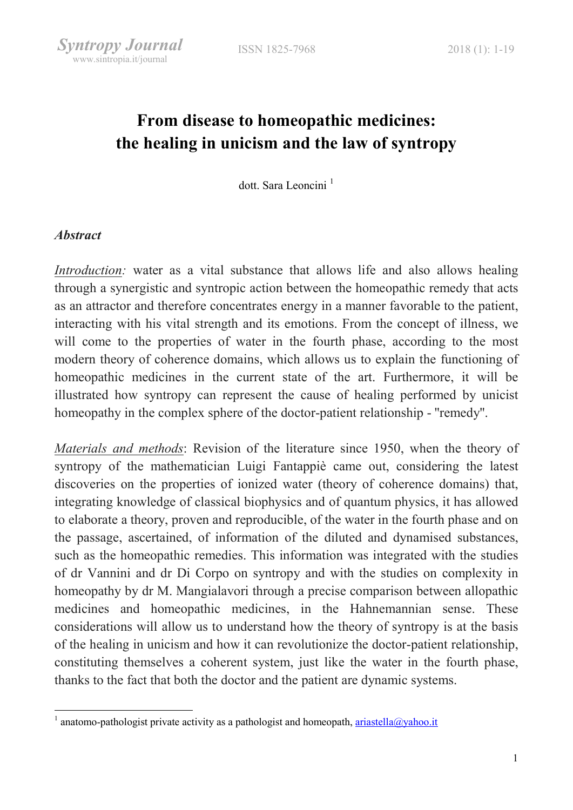# From disease to homeopathic medicines: the healing in unicism and the law of syntropy

dott. Sara Leoncini<sup>1</sup>

#### **Abstract**

-

Introduction: water as a vital substance that allows life and also allows healing through a synergistic and syntropic action between the homeopathic remedy that acts as an attractor and therefore concentrates energy in a manner favorable to the patient, interacting with his vital strength and its emotions. From the concept of illness, we will come to the properties of water in the fourth phase, according to the most modern theory of coherence domains, which allows us to explain the functioning of homeopathic medicines in the current state of the art. Furthermore, it will be illustrated how syntropy can represent the cause of healing performed by unicist homeopathy in the complex sphere of the doctor-patient relationship - ''remedy''.

Materials and methods: Revision of the literature since 1950, when the theory of syntropy of the mathematician Luigi Fantappiè came out, considering the latest discoveries on the properties of ionized water (theory of coherence domains) that, integrating knowledge of classical biophysics and of quantum physics, it has allowed to elaborate a theory, proven and reproducible, of the water in the fourth phase and on the passage, ascertained, of information of the diluted and dynamised substances, such as the homeopathic remedies. This information was integrated with the studies of dr Vannini and dr Di Corpo on syntropy and with the studies on complexity in homeopathy by dr M. Mangialavori through a precise comparison between allopathic medicines and homeopathic medicines, in the Hahnemannian sense. These considerations will allow us to understand how the theory of syntropy is at the basis of the healing in unicism and how it can revolutionize the doctor-patient relationship, constituting themselves a coherent system, just like the water in the fourth phase, thanks to the fact that both the doctor and the patient are dynamic systems.

<sup>&</sup>lt;sup>1</sup> anatomo-pathologist private activity as a pathologist and homeopath,  $\frac{ariastella(\partial yaho.)t}{a}$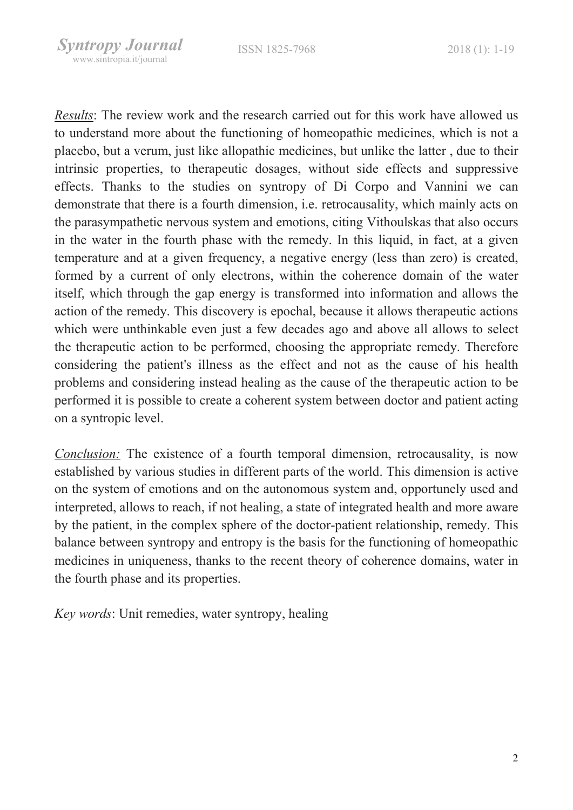Results: The review work and the research carried out for this work have allowed us to understand more about the functioning of homeopathic medicines, which is not a placebo, but a verum, just like allopathic medicines, but unlike the latter , due to their intrinsic properties, to therapeutic dosages, without side effects and suppressive effects. Thanks to the studies on syntropy of Di Corpo and Vannini we can demonstrate that there is a fourth dimension, i.e. retrocausality, which mainly acts on the parasympathetic nervous system and emotions, citing Vithoulskas that also occurs in the water in the fourth phase with the remedy. In this liquid, in fact, at a given temperature and at a given frequency, a negative energy (less than zero) is created, formed by a current of only electrons, within the coherence domain of the water itself, which through the gap energy is transformed into information and allows the action of the remedy. This discovery is epochal, because it allows therapeutic actions which were unthinkable even just a few decades ago and above all allows to select the therapeutic action to be performed, choosing the appropriate remedy. Therefore considering the patient's illness as the effect and not as the cause of his health problems and considering instead healing as the cause of the therapeutic action to be performed it is possible to create a coherent system between doctor and patient acting on a syntropic level.

Conclusion: The existence of a fourth temporal dimension, retrocausality, is now established by various studies in different parts of the world. This dimension is active on the system of emotions and on the autonomous system and, opportunely used and interpreted, allows to reach, if not healing, a state of integrated health and more aware by the patient, in the complex sphere of the doctor-patient relationship, remedy. This balance between syntropy and entropy is the basis for the functioning of homeopathic medicines in uniqueness, thanks to the recent theory of coherence domains, water in the fourth phase and its properties.

Key words: Unit remedies, water syntropy, healing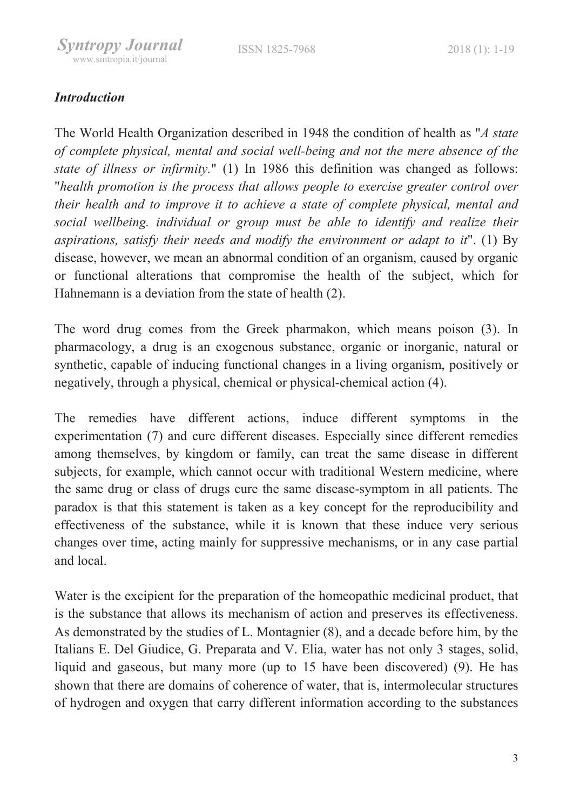# **Introduction**

The World Health Organization described in 1948 the condition of health as "A state of complete physical, mental and social well-being and not the mere absence of the state of illness or infirmity." (1) In 1986 this definition was changed as follows: "health promotion is the process that allows people to exercise greater control over their health and to improve it to achieve a state of complete physical, mental and social wellbeing. individual or group must be able to identify and realize their aspirations, satisfy their needs and modify the environment or adapt to it". (1) By disease, however, we mean an abnormal condition of an organism, caused by organic or functional alterations that compromise the health of the subject, which for Hahnemann is a deviation from the state of health (2).

The word drug comes from the Greek pharmakon, which means poison (3). In pharmacology, a drug is an exogenous substance, organic or inorganic, natural or synthetic, capable of inducing functional changes in a living organism, positively or negatively, through a physical, chemical or physical-chemical action (4).

The remedies have different actions, induce different symptoms in the experimentation (7) and cure different diseases. Especially since different remedies among themselves, by kingdom or family, can treat the same disease in different subjects, for example, which cannot occur with traditional Western medicine, where the same drug or class of drugs cure the same disease-symptom in all patients. The paradox is that this statement is taken as a key concept for the reproducibility and effectiveness of the substance, while it is known that these induce very serious changes over time, acting mainly for suppressive mechanisms, or in any case partial and local.

Water is the excipient for the preparation of the homeopathic medicinal product, that is the substance that allows its mechanism of action and preserves its effectiveness. As demonstrated by the studies of L. Montagnier (8), and a decade before him, by the Italians E. Del Giudice, G. Preparata and V. Elia, water has not only 3 stages, solid, liquid and gaseous, but many more (up to 15 have been discovered) (9). He has shown that there are domains of coherence of water, that is, intermolecular structures of hydrogen and oxygen that carry different information according to the substances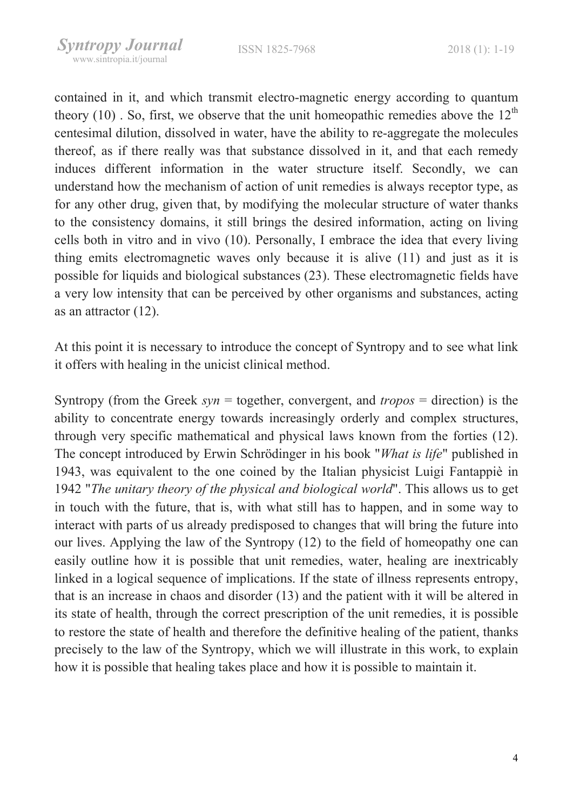contained in it, and which transmit electro-magnetic energy according to quantum theory (10). So, first, we observe that the unit homeopathic remedies above the  $12<sup>th</sup>$ centesimal dilution, dissolved in water, have the ability to re-aggregate the molecules thereof, as if there really was that substance dissolved in it, and that each remedy induces different information in the water structure itself. Secondly, we can understand how the mechanism of action of unit remedies is always receptor type, as for any other drug, given that, by modifying the molecular structure of water thanks to the consistency domains, it still brings the desired information, acting on living cells both in vitro and in vivo (10). Personally, I embrace the idea that every living thing emits electromagnetic waves only because it is alive (11) and just as it is possible for liquids and biological substances (23). These electromagnetic fields have a very low intensity that can be perceived by other organisms and substances, acting as an attractor (12).

At this point it is necessary to introduce the concept of Syntropy and to see what link it offers with healing in the unicist clinical method.

Syntropy (from the Greek  $syn =$  together, convergent, and tropos = direction) is the ability to concentrate energy towards increasingly orderly and complex structures, through very specific mathematical and physical laws known from the forties (12). The concept introduced by Erwin Schrödinger in his book "What is life" published in 1943, was equivalent to the one coined by the Italian physicist Luigi Fantappiè in 1942 "The unitary theory of the physical and biological world". This allows us to get in touch with the future, that is, with what still has to happen, and in some way to interact with parts of us already predisposed to changes that will bring the future into our lives. Applying the law of the Syntropy (12) to the field of homeopathy one can easily outline how it is possible that unit remedies, water, healing are inextricably linked in a logical sequence of implications. If the state of illness represents entropy, that is an increase in chaos and disorder (13) and the patient with it will be altered in its state of health, through the correct prescription of the unit remedies, it is possible to restore the state of health and therefore the definitive healing of the patient, thanks precisely to the law of the Syntropy, which we will illustrate in this work, to explain how it is possible that healing takes place and how it is possible to maintain it.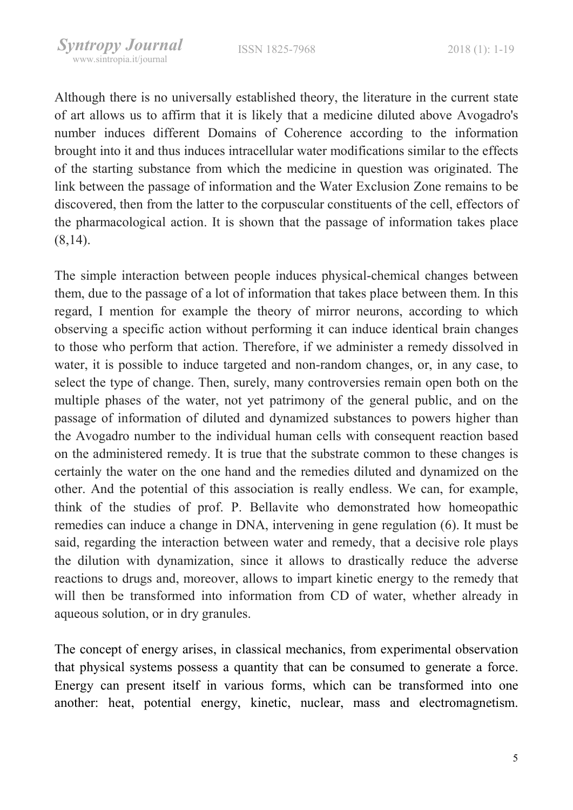Although there is no universally established theory, the literature in the current state of art allows us to affirm that it is likely that a medicine diluted above Avogadro's number induces different Domains of Coherence according to the information brought into it and thus induces intracellular water modifications similar to the effects of the starting substance from which the medicine in question was originated. The link between the passage of information and the Water Exclusion Zone remains to be discovered, then from the latter to the corpuscular constituents of the cell, effectors of the pharmacological action. It is shown that the passage of information takes place (8,14).

The simple interaction between people induces physical-chemical changes between them, due to the passage of a lot of information that takes place between them. In this regard, I mention for example the theory of mirror neurons, according to which observing a specific action without performing it can induce identical brain changes to those who perform that action. Therefore, if we administer a remedy dissolved in water, it is possible to induce targeted and non-random changes, or, in any case, to select the type of change. Then, surely, many controversies remain open both on the multiple phases of the water, not yet patrimony of the general public, and on the passage of information of diluted and dynamized substances to powers higher than the Avogadro number to the individual human cells with consequent reaction based on the administered remedy. It is true that the substrate common to these changes is certainly the water on the one hand and the remedies diluted and dynamized on the other. And the potential of this association is really endless. We can, for example, think of the studies of prof. P. Bellavite who demonstrated how homeopathic remedies can induce a change in DNA, intervening in gene regulation (6). It must be said, regarding the interaction between water and remedy, that a decisive role plays the dilution with dynamization, since it allows to drastically reduce the adverse reactions to drugs and, moreover, allows to impart kinetic energy to the remedy that will then be transformed into information from CD of water, whether already in aqueous solution, or in dry granules.

The concept of energy arises, in classical mechanics, from experimental observation that physical systems possess a quantity that can be consumed to generate a force. Energy can present itself in various forms, which can be transformed into one another: heat, potential energy, kinetic, nuclear, mass and electromagnetism.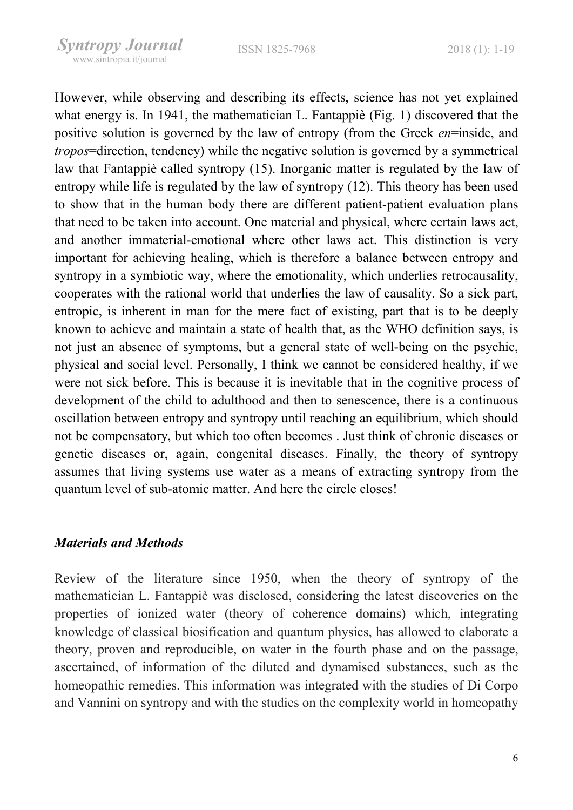However, while observing and describing its effects, science has not yet explained what energy is. In 1941, the mathematician L. Fantappiè (Fig. 1) discovered that the positive solution is governed by the law of entropy (from the Greek en=inside, and tropos=direction, tendency) while the negative solution is governed by a symmetrical law that Fantappiè called syntropy (15). Inorganic matter is regulated by the law of entropy while life is regulated by the law of syntropy (12). This theory has been used to show that in the human body there are different patient-patient evaluation plans that need to be taken into account. One material and physical, where certain laws act, and another immaterial-emotional where other laws act. This distinction is very important for achieving healing, which is therefore a balance between entropy and syntropy in a symbiotic way, where the emotionality, which underlies retrocausality, cooperates with the rational world that underlies the law of causality. So a sick part, entropic, is inherent in man for the mere fact of existing, part that is to be deeply known to achieve and maintain a state of health that, as the WHO definition says, is not just an absence of symptoms, but a general state of well-being on the psychic, physical and social level. Personally, I think we cannot be considered healthy, if we were not sick before. This is because it is inevitable that in the cognitive process of development of the child to adulthood and then to senescence, there is a continuous oscillation between entropy and syntropy until reaching an equilibrium, which should not be compensatory, but which too often becomes . Just think of chronic diseases or genetic diseases or, again, congenital diseases. Finally, the theory of syntropy assumes that living systems use water as a means of extracting syntropy from the quantum level of sub-atomic matter. And here the circle closes!

#### Materials and Methods

Review of the literature since 1950, when the theory of syntropy of the mathematician L. Fantappiè was disclosed, considering the latest discoveries on the properties of ionized water (theory of coherence domains) which, integrating knowledge of classical biosification and quantum physics, has allowed to elaborate a theory, proven and reproducible, on water in the fourth phase and on the passage, ascertained, of information of the diluted and dynamised substances, such as the homeopathic remedies. This information was integrated with the studies of Di Corpo and Vannini on syntropy and with the studies on the complexity world in homeopathy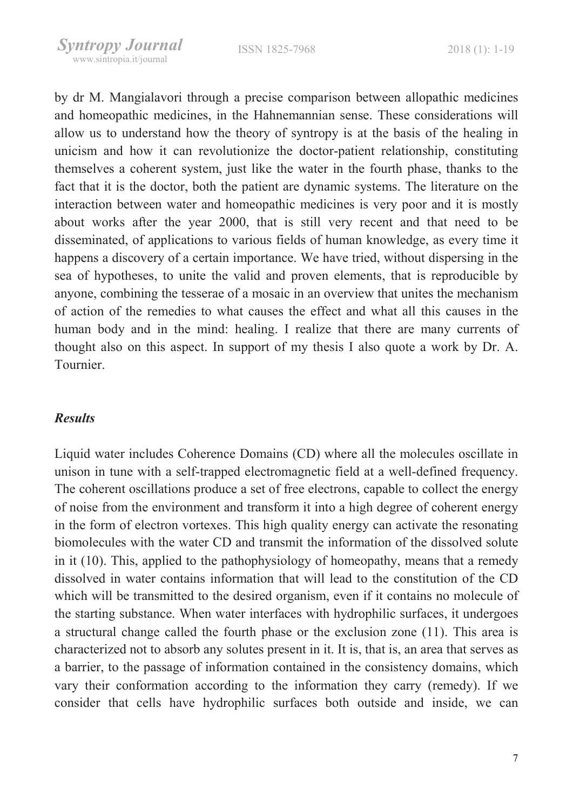by dr M. Mangialavori through a precise comparison between allopathic medicines and homeopathic medicines, in the Hahnemannian sense. These considerations will allow us to understand how the theory of syntropy is at the basis of the healing in unicism and how it can revolutionize the doctor-patient relationship, constituting themselves a coherent system, just like the water in the fourth phase, thanks to the fact that it is the doctor, both the patient are dynamic systems. The literature on the interaction between water and homeopathic medicines is very poor and it is mostly about works after the year 2000, that is still very recent and that need to be disseminated, of applications to various fields of human knowledge, as every time it happens a discovery of a certain importance. We have tried, without dispersing in the sea of hypotheses, to unite the valid and proven elements, that is reproducible by anyone, combining the tesserae of a mosaic in an overview that unites the mechanism of action of the remedies to what causes the effect and what all this causes in the human body and in the mind: healing. I realize that there are many currents of thought also on this aspect. In support of my thesis I also quote a work by Dr. A. Tournier.

#### Results

Liquid water includes Coherence Domains (CD) where all the molecules oscillate in unison in tune with a self-trapped electromagnetic field at a well-defined frequency. The coherent oscillations produce a set of free electrons, capable to collect the energy of noise from the environment and transform it into a high degree of coherent energy in the form of electron vortexes. This high quality energy can activate the resonating biomolecules with the water CD and transmit the information of the dissolved solute in it (10). This, applied to the pathophysiology of homeopathy, means that a remedy dissolved in water contains information that will lead to the constitution of the CD which will be transmitted to the desired organism, even if it contains no molecule of the starting substance. When water interfaces with hydrophilic surfaces, it undergoes a structural change called the fourth phase or the exclusion zone (11). This area is characterized not to absorb any solutes present in it. It is, that is, an area that serves as a barrier, to the passage of information contained in the consistency domains, which vary their conformation according to the information they carry (remedy). If we consider that cells have hydrophilic surfaces both outside and inside, we can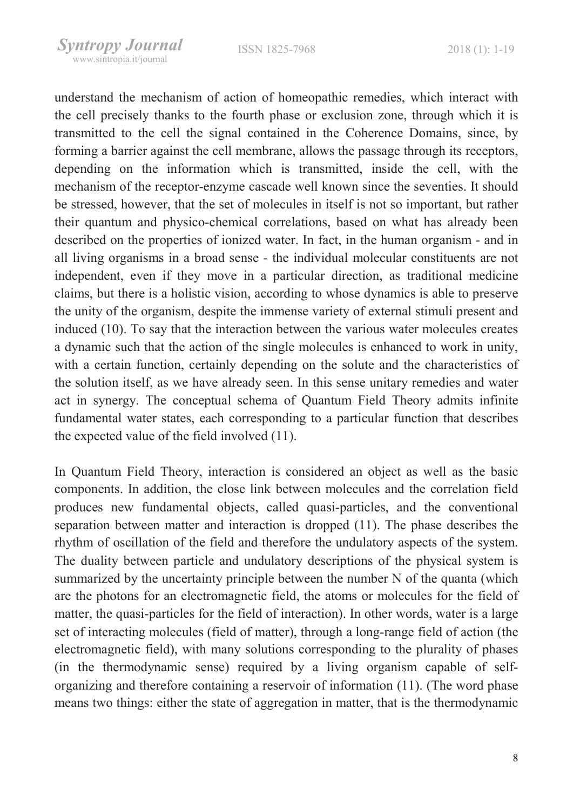understand the mechanism of action of homeopathic remedies, which interact with the cell precisely thanks to the fourth phase or exclusion zone, through which it is transmitted to the cell the signal contained in the Coherence Domains, since, by forming a barrier against the cell membrane, allows the passage through its receptors, depending on the information which is transmitted, inside the cell, with the mechanism of the receptor-enzyme cascade well known since the seventies. It should be stressed, however, that the set of molecules in itself is not so important, but rather their quantum and physico-chemical correlations, based on what has already been described on the properties of ionized water. In fact, in the human organism - and in all living organisms in a broad sense - the individual molecular constituents are not independent, even if they move in a particular direction, as traditional medicine claims, but there is a holistic vision, according to whose dynamics is able to preserve the unity of the organism, despite the immense variety of external stimuli present and induced (10). To say that the interaction between the various water molecules creates a dynamic such that the action of the single molecules is enhanced to work in unity, with a certain function, certainly depending on the solute and the characteristics of the solution itself, as we have already seen. In this sense unitary remedies and water act in synergy. The conceptual schema of Quantum Field Theory admits infinite fundamental water states, each corresponding to a particular function that describes the expected value of the field involved (11).

In Quantum Field Theory, interaction is considered an object as well as the basic components. In addition, the close link between molecules and the correlation field produces new fundamental objects, called quasi-particles, and the conventional separation between matter and interaction is dropped (11). The phase describes the rhythm of oscillation of the field and therefore the undulatory aspects of the system. The duality between particle and undulatory descriptions of the physical system is summarized by the uncertainty principle between the number N of the quanta (which are the photons for an electromagnetic field, the atoms or molecules for the field of matter, the quasi-particles for the field of interaction). In other words, water is a large set of interacting molecules (field of matter), through a long-range field of action (the electromagnetic field), with many solutions corresponding to the plurality of phases (in the thermodynamic sense) required by a living organism capable of selforganizing and therefore containing a reservoir of information (11). (The word phase means two things: either the state of aggregation in matter, that is the thermodynamic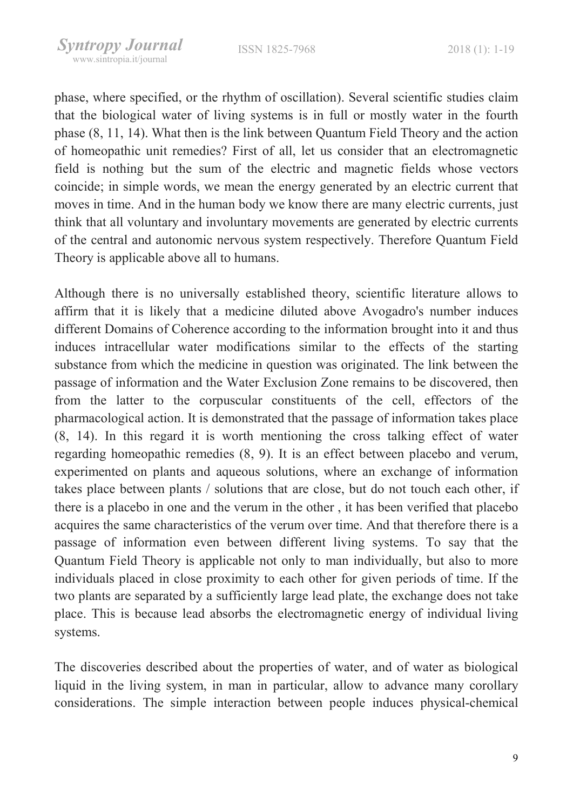phase, where specified, or the rhythm of oscillation). Several scientific studies claim that the biological water of living systems is in full or mostly water in the fourth phase (8, 11, 14). What then is the link between Quantum Field Theory and the action of homeopathic unit remedies? First of all, let us consider that an electromagnetic field is nothing but the sum of the electric and magnetic fields whose vectors coincide; in simple words, we mean the energy generated by an electric current that moves in time. And in the human body we know there are many electric currents, just think that all voluntary and involuntary movements are generated by electric currents of the central and autonomic nervous system respectively. Therefore Quantum Field Theory is applicable above all to humans.

Although there is no universally established theory, scientific literature allows to affirm that it is likely that a medicine diluted above Avogadro's number induces different Domains of Coherence according to the information brought into it and thus induces intracellular water modifications similar to the effects of the starting substance from which the medicine in question was originated. The link between the passage of information and the Water Exclusion Zone remains to be discovered, then from the latter to the corpuscular constituents of the cell, effectors of the pharmacological action. It is demonstrated that the passage of information takes place (8, 14). In this regard it is worth mentioning the cross talking effect of water regarding homeopathic remedies (8, 9). It is an effect between placebo and verum, experimented on plants and aqueous solutions, where an exchange of information takes place between plants / solutions that are close, but do not touch each other, if there is a placebo in one and the verum in the other , it has been verified that placebo acquires the same characteristics of the verum over time. And that therefore there is a passage of information even between different living systems. To say that the Quantum Field Theory is applicable not only to man individually, but also to more individuals placed in close proximity to each other for given periods of time. If the two plants are separated by a sufficiently large lead plate, the exchange does not take place. This is because lead absorbs the electromagnetic energy of individual living systems.

The discoveries described about the properties of water, and of water as biological liquid in the living system, in man in particular, allow to advance many corollary considerations. The simple interaction between people induces physical-chemical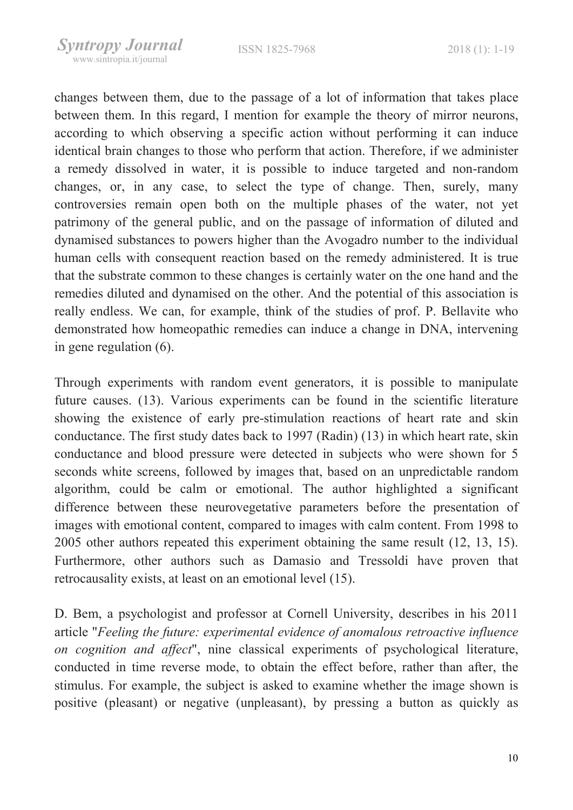changes between them, due to the passage of a lot of information that takes place between them. In this regard, I mention for example the theory of mirror neurons, according to which observing a specific action without performing it can induce identical brain changes to those who perform that action. Therefore, if we administer a remedy dissolved in water, it is possible to induce targeted and non-random changes, or, in any case, to select the type of change. Then, surely, many controversies remain open both on the multiple phases of the water, not yet patrimony of the general public, and on the passage of information of diluted and dynamised substances to powers higher than the Avogadro number to the individual human cells with consequent reaction based on the remedy administered. It is true that the substrate common to these changes is certainly water on the one hand and the remedies diluted and dynamised on the other. And the potential of this association is really endless. We can, for example, think of the studies of prof. P. Bellavite who demonstrated how homeopathic remedies can induce a change in DNA, intervening in gene regulation (6).

Through experiments with random event generators, it is possible to manipulate future causes. (13). Various experiments can be found in the scientific literature showing the existence of early pre-stimulation reactions of heart rate and skin conductance. The first study dates back to 1997 (Radin) (13) in which heart rate, skin conductance and blood pressure were detected in subjects who were shown for 5 seconds white screens, followed by images that, based on an unpredictable random algorithm, could be calm or emotional. The author highlighted a significant difference between these neurovegetative parameters before the presentation of images with emotional content, compared to images with calm content. From 1998 to 2005 other authors repeated this experiment obtaining the same result (12, 13, 15). Furthermore, other authors such as Damasio and Tressoldi have proven that retrocausality exists, at least on an emotional level (15).

D. Bem, a psychologist and professor at Cornell University, describes in his 2011 article "Feeling the future: experimental evidence of anomalous retroactive influence on cognition and affect", nine classical experiments of psychological literature, conducted in time reverse mode, to obtain the effect before, rather than after, the stimulus. For example, the subject is asked to examine whether the image shown is positive (pleasant) or negative (unpleasant), by pressing a button as quickly as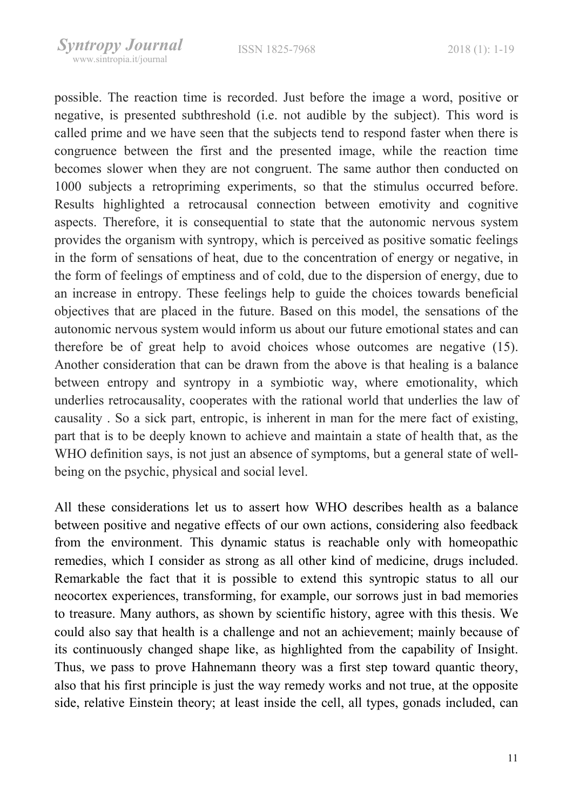possible. The reaction time is recorded. Just before the image a word, positive or negative, is presented subthreshold (i.e. not audible by the subject). This word is called prime and we have seen that the subjects tend to respond faster when there is congruence between the first and the presented image, while the reaction time becomes slower when they are not congruent. The same author then conducted on 1000 subjects a retropriming experiments, so that the stimulus occurred before. Results highlighted a retrocausal connection between emotivity and cognitive aspects. Therefore, it is consequential to state that the autonomic nervous system provides the organism with syntropy, which is perceived as positive somatic feelings in the form of sensations of heat, due to the concentration of energy or negative, in the form of feelings of emptiness and of cold, due to the dispersion of energy, due to an increase in entropy. These feelings help to guide the choices towards beneficial objectives that are placed in the future. Based on this model, the sensations of the autonomic nervous system would inform us about our future emotional states and can therefore be of great help to avoid choices whose outcomes are negative (15). Another consideration that can be drawn from the above is that healing is a balance between entropy and syntropy in a symbiotic way, where emotionality, which underlies retrocausality, cooperates with the rational world that underlies the law of causality . So a sick part, entropic, is inherent in man for the mere fact of existing, part that is to be deeply known to achieve and maintain a state of health that, as the WHO definition says, is not just an absence of symptoms, but a general state of wellbeing on the psychic, physical and social level.

All these considerations let us to assert how WHO describes health as a balance between positive and negative effects of our own actions, considering also feedback from the environment. This dynamic status is reachable only with homeopathic remedies, which I consider as strong as all other kind of medicine, drugs included. Remarkable the fact that it is possible to extend this syntropic status to all our neocortex experiences, transforming, for example, our sorrows just in bad memories to treasure. Many authors, as shown by scientific history, agree with this thesis. We could also say that health is a challenge and not an achievement; mainly because of its continuously changed shape like, as highlighted from the capability of Insight. Thus, we pass to prove Hahnemann theory was a first step toward quantic theory, also that his first principle is just the way remedy works and not true, at the opposite side, relative Einstein theory; at least inside the cell, all types, gonads included, can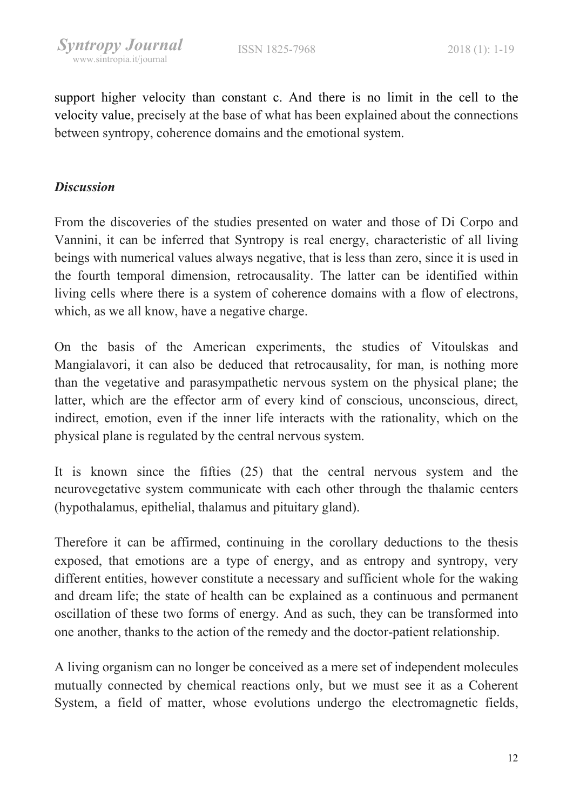support higher velocity than constant c. And there is no limit in the cell to the velocity value, precisely at the base of what has been explained about the connections between syntropy, coherence domains and the emotional system.

## **Discussion**

From the discoveries of the studies presented on water and those of Di Corpo and Vannini, it can be inferred that Syntropy is real energy, characteristic of all living beings with numerical values always negative, that is less than zero, since it is used in the fourth temporal dimension, retrocausality. The latter can be identified within living cells where there is a system of coherence domains with a flow of electrons, which, as we all know, have a negative charge.

On the basis of the American experiments, the studies of Vitoulskas and Mangialavori, it can also be deduced that retrocausality, for man, is nothing more than the vegetative and parasympathetic nervous system on the physical plane; the latter, which are the effector arm of every kind of conscious, unconscious, direct, indirect, emotion, even if the inner life interacts with the rationality, which on the physical plane is regulated by the central nervous system.

It is known since the fifties (25) that the central nervous system and the neurovegetative system communicate with each other through the thalamic centers (hypothalamus, epithelial, thalamus and pituitary gland).

Therefore it can be affirmed, continuing in the corollary deductions to the thesis exposed, that emotions are a type of energy, and as entropy and syntropy, very different entities, however constitute a necessary and sufficient whole for the waking and dream life; the state of health can be explained as a continuous and permanent oscillation of these two forms of energy. And as such, they can be transformed into one another, thanks to the action of the remedy and the doctor-patient relationship.

A living organism can no longer be conceived as a mere set of independent molecules mutually connected by chemical reactions only, but we must see it as a Coherent System, a field of matter, whose evolutions undergo the electromagnetic fields,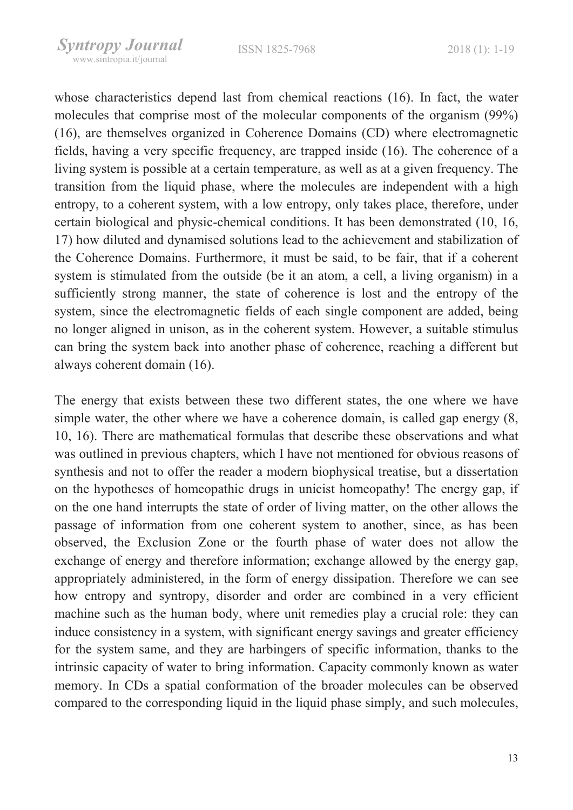whose characteristics depend last from chemical reactions (16). In fact, the water molecules that comprise most of the molecular components of the organism (99%) (16), are themselves organized in Coherence Domains (CD) where electromagnetic fields, having a very specific frequency, are trapped inside (16). The coherence of a living system is possible at a certain temperature, as well as at a given frequency. The transition from the liquid phase, where the molecules are independent with a high entropy, to a coherent system, with a low entropy, only takes place, therefore, under certain biological and physic-chemical conditions. It has been demonstrated (10, 16, 17) how diluted and dynamised solutions lead to the achievement and stabilization of the Coherence Domains. Furthermore, it must be said, to be fair, that if a coherent system is stimulated from the outside (be it an atom, a cell, a living organism) in a sufficiently strong manner, the state of coherence is lost and the entropy of the system, since the electromagnetic fields of each single component are added, being no longer aligned in unison, as in the coherent system. However, a suitable stimulus can bring the system back into another phase of coherence, reaching a different but always coherent domain (16).

The energy that exists between these two different states, the one where we have simple water, the other where we have a coherence domain, is called gap energy (8, 10, 16). There are mathematical formulas that describe these observations and what was outlined in previous chapters, which I have not mentioned for obvious reasons of synthesis and not to offer the reader a modern biophysical treatise, but a dissertation on the hypotheses of homeopathic drugs in unicist homeopathy! The energy gap, if on the one hand interrupts the state of order of living matter, on the other allows the passage of information from one coherent system to another, since, as has been observed, the Exclusion Zone or the fourth phase of water does not allow the exchange of energy and therefore information; exchange allowed by the energy gap, appropriately administered, in the form of energy dissipation. Therefore we can see how entropy and syntropy, disorder and order are combined in a very efficient machine such as the human body, where unit remedies play a crucial role: they can induce consistency in a system, with significant energy savings and greater efficiency for the system same, and they are harbingers of specific information, thanks to the intrinsic capacity of water to bring information. Capacity commonly known as water memory. In CDs a spatial conformation of the broader molecules can be observed compared to the corresponding liquid in the liquid phase simply, and such molecules,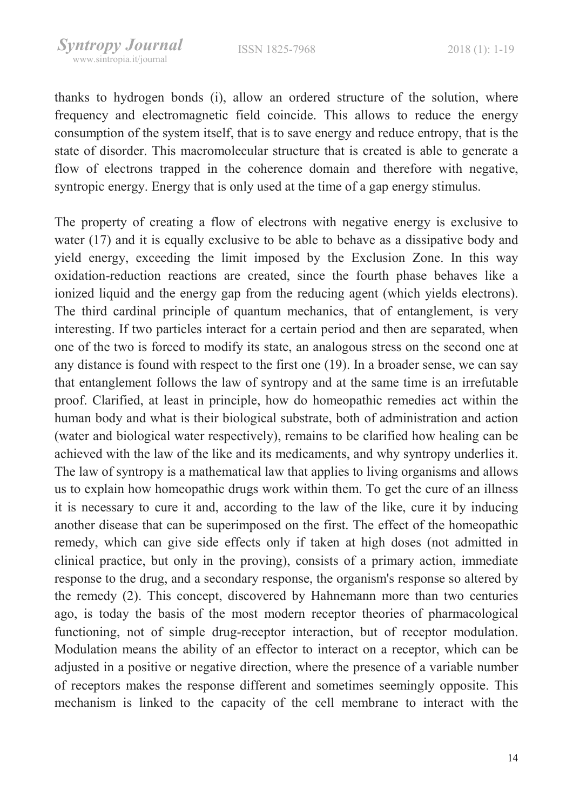thanks to hydrogen bonds (i), allow an ordered structure of the solution, where frequency and electromagnetic field coincide. This allows to reduce the energy consumption of the system itself, that is to save energy and reduce entropy, that is the state of disorder. This macromolecular structure that is created is able to generate a flow of electrons trapped in the coherence domain and therefore with negative, syntropic energy. Energy that is only used at the time of a gap energy stimulus.

The property of creating a flow of electrons with negative energy is exclusive to water (17) and it is equally exclusive to be able to behave as a dissipative body and yield energy, exceeding the limit imposed by the Exclusion Zone. In this way oxidation-reduction reactions are created, since the fourth phase behaves like a ionized liquid and the energy gap from the reducing agent (which yields electrons). The third cardinal principle of quantum mechanics, that of entanglement, is very interesting. If two particles interact for a certain period and then are separated, when one of the two is forced to modify its state, an analogous stress on the second one at any distance is found with respect to the first one (19). In a broader sense, we can say that entanglement follows the law of syntropy and at the same time is an irrefutable proof. Clarified, at least in principle, how do homeopathic remedies act within the human body and what is their biological substrate, both of administration and action (water and biological water respectively), remains to be clarified how healing can be achieved with the law of the like and its medicaments, and why syntropy underlies it. The law of syntropy is a mathematical law that applies to living organisms and allows us to explain how homeopathic drugs work within them. To get the cure of an illness it is necessary to cure it and, according to the law of the like, cure it by inducing another disease that can be superimposed on the first. The effect of the homeopathic remedy, which can give side effects only if taken at high doses (not admitted in clinical practice, but only in the proving), consists of a primary action, immediate response to the drug, and a secondary response, the organism's response so altered by the remedy (2). This concept, discovered by Hahnemann more than two centuries ago, is today the basis of the most modern receptor theories of pharmacological functioning, not of simple drug-receptor interaction, but of receptor modulation. Modulation means the ability of an effector to interact on a receptor, which can be adjusted in a positive or negative direction, where the presence of a variable number of receptors makes the response different and sometimes seemingly opposite. This mechanism is linked to the capacity of the cell membrane to interact with the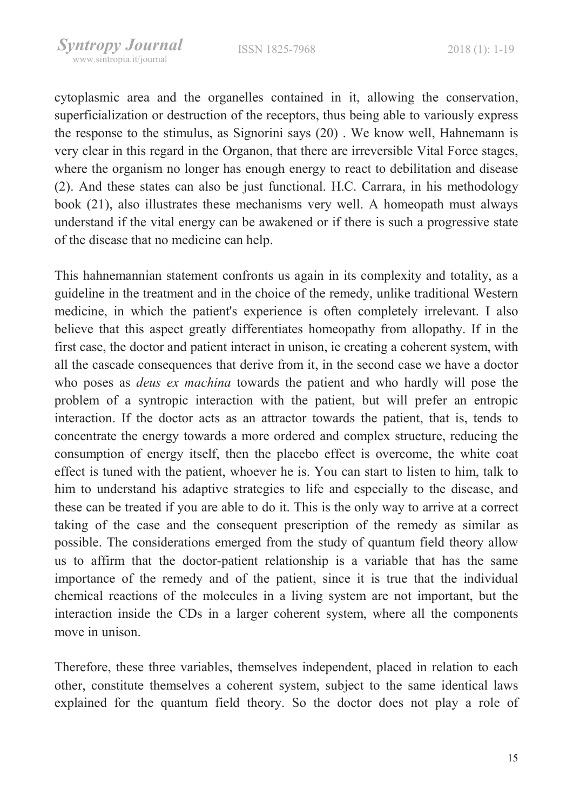cytoplasmic area and the organelles contained in it, allowing the conservation, superficialization or destruction of the receptors, thus being able to variously express the response to the stimulus, as Signorini says (20) . We know well, Hahnemann is very clear in this regard in the Organon, that there are irreversible Vital Force stages, where the organism no longer has enough energy to react to debilitation and disease (2). And these states can also be just functional. H.C. Carrara, in his methodology book (21), also illustrates these mechanisms very well. A homeopath must always understand if the vital energy can be awakened or if there is such a progressive state of the disease that no medicine can help.

This hahnemannian statement confronts us again in its complexity and totality, as a guideline in the treatment and in the choice of the remedy, unlike traditional Western medicine, in which the patient's experience is often completely irrelevant. I also believe that this aspect greatly differentiates homeopathy from allopathy. If in the first case, the doctor and patient interact in unison, ie creating a coherent system, with all the cascade consequences that derive from it, in the second case we have a doctor who poses as deus ex machina towards the patient and who hardly will pose the problem of a syntropic interaction with the patient, but will prefer an entropic interaction. If the doctor acts as an attractor towards the patient, that is, tends to concentrate the energy towards a more ordered and complex structure, reducing the consumption of energy itself, then the placebo effect is overcome, the white coat effect is tuned with the patient, whoever he is. You can start to listen to him, talk to him to understand his adaptive strategies to life and especially to the disease, and these can be treated if you are able to do it. This is the only way to arrive at a correct taking of the case and the consequent prescription of the remedy as similar as possible. The considerations emerged from the study of quantum field theory allow us to affirm that the doctor-patient relationship is a variable that has the same importance of the remedy and of the patient, since it is true that the individual chemical reactions of the molecules in a living system are not important, but the interaction inside the CDs in a larger coherent system, where all the components move in unison.

Therefore, these three variables, themselves independent, placed in relation to each other, constitute themselves a coherent system, subject to the same identical laws explained for the quantum field theory. So the doctor does not play a role of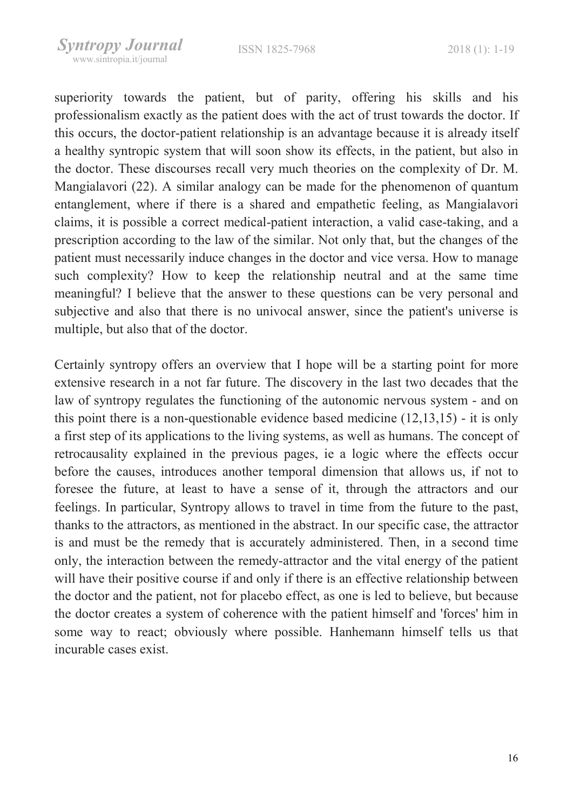superiority towards the patient, but of parity, offering his skills and his professionalism exactly as the patient does with the act of trust towards the doctor. If this occurs, the doctor-patient relationship is an advantage because it is already itself a healthy syntropic system that will soon show its effects, in the patient, but also in the doctor. These discourses recall very much theories on the complexity of Dr. M. Mangialavori (22). A similar analogy can be made for the phenomenon of quantum entanglement, where if there is a shared and empathetic feeling, as Mangialavori claims, it is possible a correct medical-patient interaction, a valid case-taking, and a prescription according to the law of the similar. Not only that, but the changes of the patient must necessarily induce changes in the doctor and vice versa. How to manage such complexity? How to keep the relationship neutral and at the same time meaningful? I believe that the answer to these questions can be very personal and subjective and also that there is no univocal answer, since the patient's universe is multiple, but also that of the doctor.

Certainly syntropy offers an overview that I hope will be a starting point for more extensive research in a not far future. The discovery in the last two decades that the law of syntropy regulates the functioning of the autonomic nervous system - and on this point there is a non-questionable evidence based medicine (12,13,15) - it is only a first step of its applications to the living systems, as well as humans. The concept of retrocausality explained in the previous pages, ie a logic where the effects occur before the causes, introduces another temporal dimension that allows us, if not to foresee the future, at least to have a sense of it, through the attractors and our feelings. In particular, Syntropy allows to travel in time from the future to the past, thanks to the attractors, as mentioned in the abstract. In our specific case, the attractor is and must be the remedy that is accurately administered. Then, in a second time only, the interaction between the remedy-attractor and the vital energy of the patient will have their positive course if and only if there is an effective relationship between the doctor and the patient, not for placebo effect, as one is led to believe, but because the doctor creates a system of coherence with the patient himself and 'forces' him in some way to react; obviously where possible. Hanhemann himself tells us that incurable cases exist.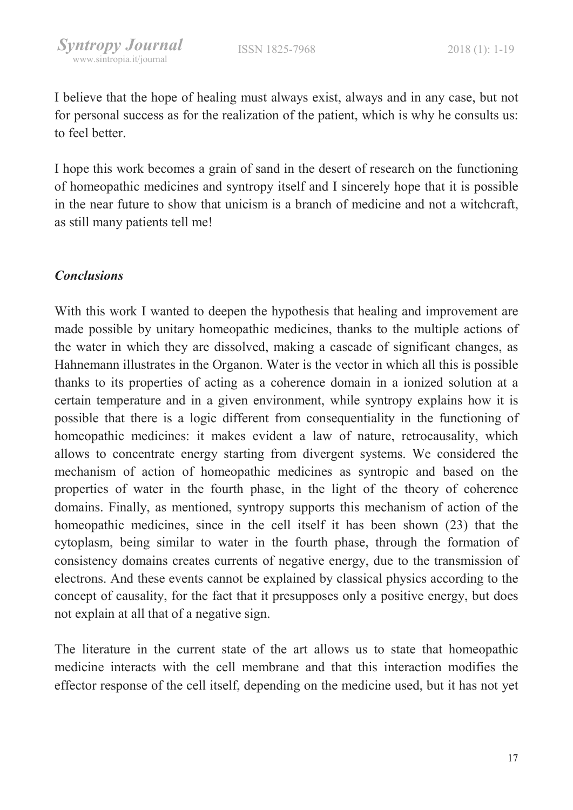I believe that the hope of healing must always exist, always and in any case, but not for personal success as for the realization of the patient, which is why he consults us: to feel better.

I hope this work becomes a grain of sand in the desert of research on the functioning of homeopathic medicines and syntropy itself and I sincerely hope that it is possible in the near future to show that unicism is a branch of medicine and not a witchcraft, as still many patients tell me!

### **Conclusions**

With this work I wanted to deepen the hypothesis that healing and improvement are made possible by unitary homeopathic medicines, thanks to the multiple actions of the water in which they are dissolved, making a cascade of significant changes, as Hahnemann illustrates in the Organon. Water is the vector in which all this is possible thanks to its properties of acting as a coherence domain in a ionized solution at a certain temperature and in a given environment, while syntropy explains how it is possible that there is a logic different from consequentiality in the functioning of homeopathic medicines: it makes evident a law of nature, retrocausality, which allows to concentrate energy starting from divergent systems. We considered the mechanism of action of homeopathic medicines as syntropic and based on the properties of water in the fourth phase, in the light of the theory of coherence domains. Finally, as mentioned, syntropy supports this mechanism of action of the homeopathic medicines, since in the cell itself it has been shown (23) that the cytoplasm, being similar to water in the fourth phase, through the formation of consistency domains creates currents of negative energy, due to the transmission of electrons. And these events cannot be explained by classical physics according to the concept of causality, for the fact that it presupposes only a positive energy, but does not explain at all that of a negative sign.

The literature in the current state of the art allows us to state that homeopathic medicine interacts with the cell membrane and that this interaction modifies the effector response of the cell itself, depending on the medicine used, but it has not yet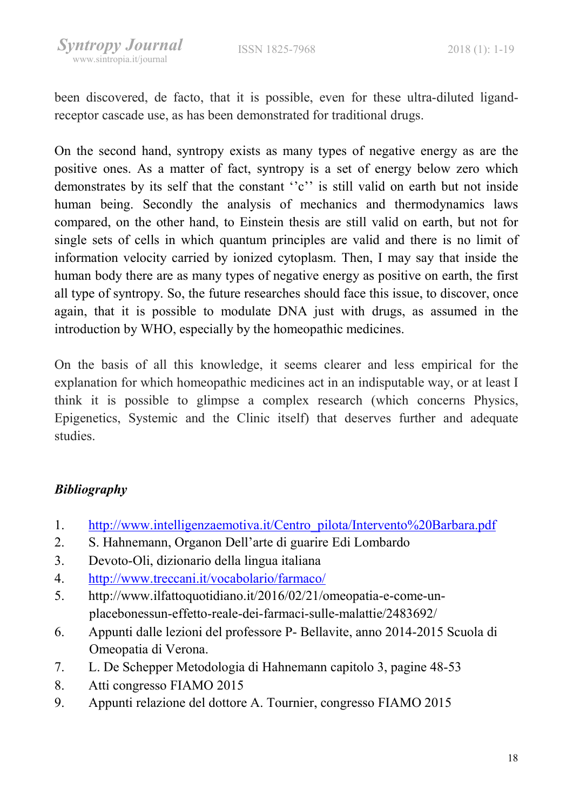been discovered, de facto, that it is possible, even for these ultra-diluted ligandreceptor cascade use, as has been demonstrated for traditional drugs.

On the second hand, syntropy exists as many types of negative energy as are the positive ones. As a matter of fact, syntropy is a set of energy below zero which demonstrates by its self that the constant "c" is still valid on earth but not inside human being. Secondly the analysis of mechanics and thermodynamics laws compared, on the other hand, to Einstein thesis are still valid on earth, but not for single sets of cells in which quantum principles are valid and there is no limit of information velocity carried by ionized cytoplasm. Then, I may say that inside the human body there are as many types of negative energy as positive on earth, the first all type of syntropy. So, the future researches should face this issue, to discover, once again, that it is possible to modulate DNA just with drugs, as assumed in the introduction by WHO, especially by the homeopathic medicines.

On the basis of all this knowledge, it seems clearer and less empirical for the explanation for which homeopathic medicines act in an indisputable way, or at least I think it is possible to glimpse a complex research (which concerns Physics, Epigenetics, Systemic and the Clinic itself) that deserves further and adequate studies.

# Bibliography

- 1. http://www.intelligenzaemotiva.it/Centro\_pilota/Intervento%20Barbara.pdf
- 2. S. Hahnemann, Organon Dell'arte di guarire Edi Lombardo
- 3. Devoto-Oli, dizionario della lingua italiana
- 4. http://www.treccani.it/vocabolario/farmaco/
- 5. http://www.ilfattoquotidiano.it/2016/02/21/omeopatia-e-come-unplacebonessun-effetto-reale-dei-farmaci-sulle-malattie/2483692/
- 6. Appunti dalle lezioni del professore P- Bellavite, anno 2014-2015 Scuola di Omeopatia di Verona.
- 7. L. De Schepper Metodologia di Hahnemann capitolo 3, pagine 48-53
- 8. Atti congresso FIAMO 2015
- 9. Appunti relazione del dottore A. Tournier, congresso FIAMO 2015